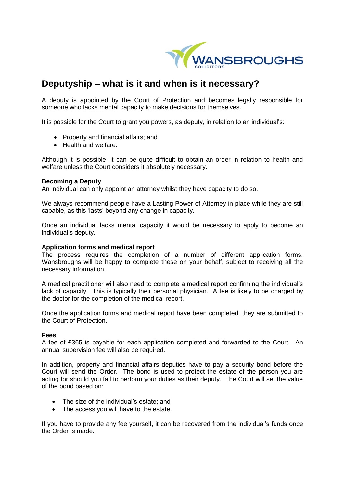

# **Deputyship – what is it and when is it necessary?**

A deputy is appointed by the Court of Protection and becomes legally responsible for someone who lacks mental capacity to make decisions for themselves.

It is possible for the Court to grant you powers, as deputy, in relation to an individual's:

- Property and financial affairs; and
- Health and welfare.

Although it is possible, it can be quite difficult to obtain an order in relation to health and welfare unless the Court considers it absolutely necessary.

### **Becoming a Deputy**

An individual can only appoint an attorney whilst they have capacity to do so.

We always recommend people have a Lasting Power of Attorney in place while they are still capable, as this 'lasts' beyond any change in capacity.

Once an individual lacks mental capacity it would be necessary to apply to become an individual's deputy.

### **Application forms and medical report**

The process requires the completion of a number of different application forms. Wansbroughs will be happy to complete these on your behalf, subject to receiving all the necessary information.

A medical practitioner will also need to complete a medical report confirming the individual's lack of capacity. This is typically their personal physician. A fee is likely to be charged by the doctor for the completion of the medical report.

Once the application forms and medical report have been completed, they are submitted to the Court of Protection.

### **Fees**

A fee of £365 is payable for each application completed and forwarded to the Court. An annual supervision fee will also be required.

In addition, property and financial affairs deputies have to pay a security bond before the Court will send the Order. The bond is used to protect the estate of the person you are acting for should you fail to perform your duties as their deputy. The Court will set the value of the bond based on:

- The size of the individual's estate; and
- The access you will have to the estate.

If you have to provide any fee yourself, it can be recovered from the individual's funds once the Order is made.